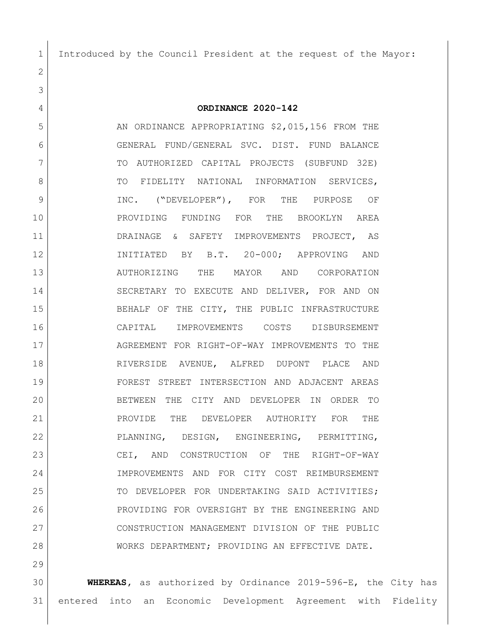Introduced by the Council President at the request of the Mayor:

**ORDINANCE 2020-142**

5 AN ORDINANCE APPROPRIATING \$2,015,156 FROM THE GENERAL FUND/GENERAL SVC. DIST. FUND BALANCE TO AUTHORIZED CAPITAL PROJECTS (SUBFUND 32E) 8 TO FIDELITY NATIONAL INFORMATION SERVICES, INC. ("DEVELOPER"), FOR THE PURPOSE OF PROVIDING FUNDING FOR THE BROOKLYN AREA 11 DRAINAGE & SAFETY IMPROVEMENTS PROJECT, AS INITIATED BY B.T. 20-000; APPROVING AND AUTHORIZING THE MAYOR AND CORPORATION SECRETARY TO EXECUTE AND DELIVER, FOR AND ON BEHALF OF THE CITY, THE PUBLIC INFRASTRUCTURE CAPITAL IMPROVEMENTS COSTS DISBURSEMENT AGREEMENT FOR RIGHT-OF-WAY IMPROVEMENTS TO THE RIVERSIDE AVENUE, ALFRED DUPONT PLACE AND FOREST STREET INTERSECTION AND ADJACENT AREAS BETWEEN THE CITY AND DEVELOPER IN ORDER TO PROVIDE THE DEVELOPER AUTHORITY FOR THE PLANNING, DESIGN, ENGINEERING, PERMITTING, CEI, AND CONSTRUCTION OF THE RIGHT-OF-WAY IMPROVEMENTS AND FOR CITY COST REIMBURSEMENT 25 TO DEVELOPER FOR UNDERTAKING SAID ACTIVITIES; PROVIDING FOR OVERSIGHT BY THE ENGINEERING AND CONSTRUCTION MANAGEMENT DIVISION OF THE PUBLIC WORKS DEPARTMENT; PROVIDING AN EFFECTIVE DATE.

 **WHEREAS,** as authorized by Ordinance 2019-596-E, the City has entered into an Economic Development Agreement with Fidelity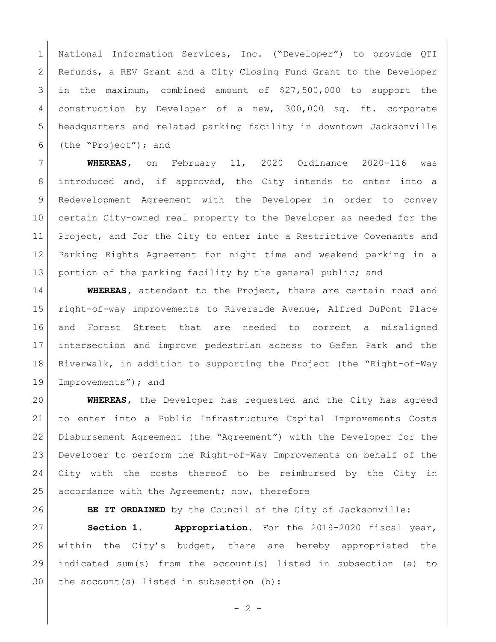National Information Services, Inc. ("Developer") to provide QTI 2 Refunds, a REV Grant and a City Closing Fund Grant to the Developer in the maximum, combined amount of \$27,500,000 to support the 4 construction by Developer of a new, 300,000 sq. ft. corporate headquarters and related parking facility in downtown Jacksonville (the "Project"); and

 **WHEREAS,** on February 11, 2020 Ordinance 2020-116 was introduced and, if approved, the City intends to enter into a Redevelopment Agreement with the Developer in order to convey certain City-owned real property to the Developer as needed for the 11 Project, and for the City to enter into a Restrictive Covenants and Parking Rights Agreement for night time and weekend parking in a 13 portion of the parking facility by the general public; and

 **WHEREAS,** attendant to the Project, there are certain road and right-of-way improvements to Riverside Avenue, Alfred DuPont Place and Forest Street that are needed to correct a misaligned intersection and improve pedestrian access to Gefen Park and the Riverwalk, in addition to supporting the Project (the "Right-of-Way 19 Improvements"); and

 **WHEREAS,** the Developer has requested and the City has agreed to enter into a Public Infrastructure Capital Improvements Costs Disbursement Agreement (the "Agreement") with the Developer for the Developer to perform the Right-of-Way Improvements on behalf of the City with the costs thereof to be reimbursed by the City in 25 accordance with the Agreement; now, therefore

**BE IT ORDAINED** by the Council of the City of Jacksonville:

 **Section 1. Appropriation.** For the 2019-2020 fiscal year, 28 within the City's budget, there are hereby appropriated the indicated sum(s) from the account(s) listed in subsection (a) to 30 | the account(s) listed in subsection (b):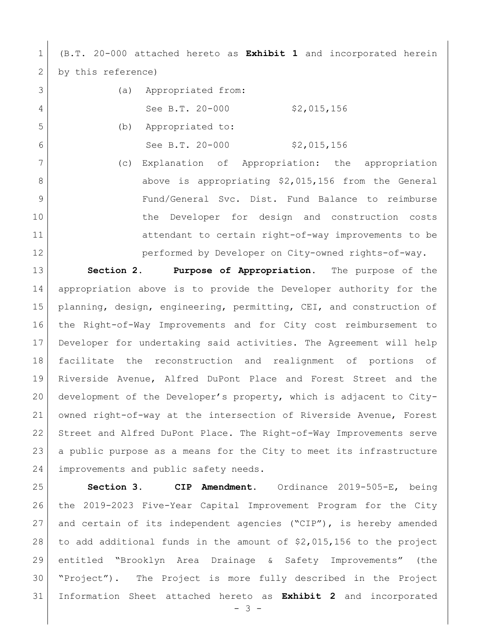(B.T. 20-000 attached hereto as **Exhibit 1** and incorporated herein 2 by this reference)

| 3              | (a) | Appropriated from:   |             |
|----------------|-----|----------------------|-------------|
| $\overline{4}$ |     | See B.T. 20-000      | \$2,015,156 |
| 5              |     | (b) Appropriated to: |             |
| 6              |     | See B.T. 20-000      | \$2,015,156 |

 (c) Explanation of Appropriation: the appropriation 8 above is appropriating \$2,015,156 from the General Fund/General Svc. Dist. Fund Balance to reimburse the Developer for design and construction costs 11 attendant to certain right-of-way improvements to be performed by Developer on City-owned rights-of-way.

 **Section 2. Purpose of Appropriation.** The purpose of the appropriation above is to provide the Developer authority for the planning, design, engineering, permitting, CEI, and construction of the Right-of-Way Improvements and for City cost reimbursement to Developer for undertaking said activities. The Agreement will help facilitate the reconstruction and realignment of portions of Riverside Avenue, Alfred DuPont Place and Forest Street and the development of the Developer's property, which is adjacent to City- owned right-of-way at the intersection of Riverside Avenue, Forest Street and Alfred DuPont Place. The Right-of-Way Improvements serve a public purpose as a means for the City to meet its infrastructure 24 improvements and public safety needs.

 **Section 3. CIP Amendment.** Ordinance 2019-505-E, being the 2019-2023 Five-Year Capital Improvement Program for the City and certain of its independent agencies ("CIP"), is hereby amended 28 to add additional funds in the amount of  $$2,015,156$  to the project entitled "Brooklyn Area Drainage & Safety Improvements" (the "Project"). The Project is more fully described in the Project Information Sheet attached hereto as **Exhibit 2** and incorporated

 $- 3 -$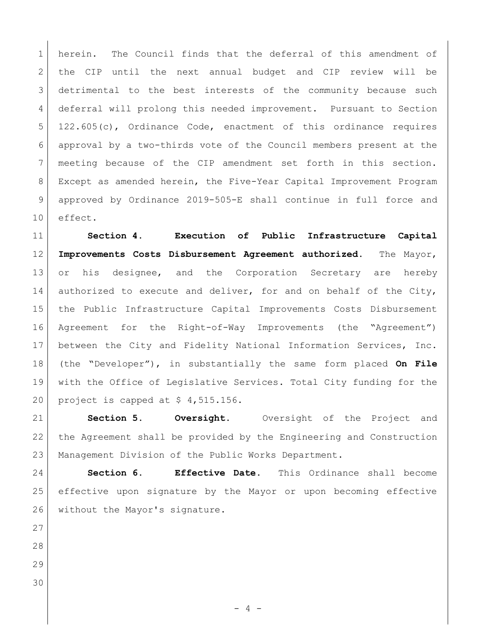1 herein. The Council finds that the deferral of this amendment of 2 the CIP until the next annual budget and CIP review will be detrimental to the best interests of the community because such 4 deferral will prolong this needed improvement. Pursuant to Section 122.605(c), Ordinance Code, enactment of this ordinance requires approval by a two-thirds vote of the Council members present at the meeting because of the CIP amendment set forth in this section. Except as amended herein, the Five-Year Capital Improvement Program approved by Ordinance 2019-505-E shall continue in full force and effect.

 **Section 4. Execution of Public Infrastructure Capital Improvements Costs Disbursement Agreement authorized**. The Mayor, 13 or his designee, and the Corporation Secretary are hereby 14 authorized to execute and deliver, for and on behalf of the City, the Public Infrastructure Capital Improvements Costs Disbursement Agreement for the Right-of-Way Improvements (the "Agreement") 17 between the City and Fidelity National Information Services, Inc. (the "Developer"), in substantially the same form placed **On File** with the Office of Legislative Services. Total City funding for the 20 project is capped at  $$4,515.156$ .

 **Section 5. Oversight.** Oversight of the Project and 22 the Agreement shall be provided by the Engineering and Construction Management Division of the Public Works Department.

 **Section 6. Effective Date.** This Ordinance shall become effective upon signature by the Mayor or upon becoming effective 26 without the Mayor's signature.

- 
- 

 $- 4 -$